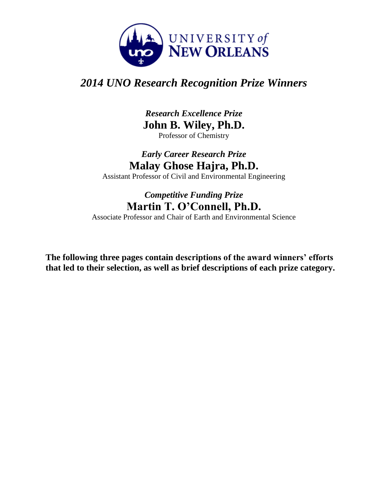

# *2014 UNO Research Recognition Prize Winners*

*Research Excellence Prize* **John B. Wiley, Ph.D.** Professor of Chemistry

# *Early Career Research Prize* **Malay Ghose Hajra, Ph.D.**

Assistant Professor of Civil and Environmental Engineering

# *Competitive Funding Prize* **Martin T. O'Connell, Ph.D.**

Associate Professor and Chair of Earth and Environmental Science

**The following three pages contain descriptions of the award winners' efforts that led to their selection, as well as brief descriptions of each prize category.**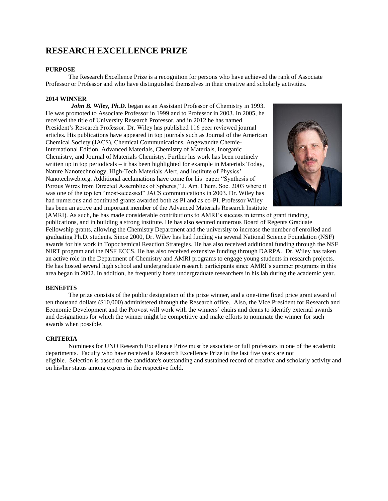# **RESEARCH EXCELLENCE PRIZE**

## **PURPOSE**

The Research Excellence Prize is a recognition for persons who have achieved the rank of Associate Professor or Professor and who have distinguished themselves in their creative and scholarly activities.

## **2014 WINNER**

*John B. Wiley, Ph.D.* began as an Assistant Professor of Chemistry in 1993. He was promoted to Associate Professor in 1999 and to Professor in 2003. In 2005, he received the title of University Research Professor, and in 2012 he has named President's Research Professor. Dr. Wiley has published 116 peer reviewed journal articles. His publications have appeared in top journals such as Journal of the American Chemical Society (JACS), Chemical Communications, Angewandte Chemie-International Edition, Advanced Materials, Chemistry of Materials, Inorganic Chemistry, and Journal of Materials Chemistry. Further his work has been routinely written up in top periodicals – it has been highlighted for example in Materials Today, Nature Nanotechnology, High-Tech Materials Alert, and Institute of Physics' Nanotechweb.org. Additional acclamations have come for his paper "Synthesis of Porous Wires from Directed Assemblies of Spheres," J. Am. Chem. Soc. 2003 where it was one of the top ten "most-accessed" JACS communications in 2003. Dr. Wiley has had numerous and continued grants awarded both as PI and as co-PI. Professor Wiley has been an active and important member of the Advanced Materials Research Institute



(AMRI). As such, he has made considerable contributions to AMRI's success in terms of grant funding, publications, and in building a strong institute. He has also secured numerous Board of Regents Graduate Fellowship grants, allowing the Chemistry Department and the university to increase the number of enrolled and graduating Ph.D. students. Since 2000, Dr. Wiley has had funding via several National Science Foundation (NSF) awards for his work in Topochemical Reaction Strategies. He has also received additional funding through the NSF NIRT program and the NSF ECCS. He has also received extensive funding through DARPA. Dr. Wiley has taken an active role in the Department of Chemistry and AMRI programs to engage young students in research projects. He has hosted several high school and undergraduate research participants since AMRI's summer programs in this area began in 2002. In addition, he frequently hosts undergraduate researchers in his lab during the academic year.

### **BENEFITS**

The prize consists of the public designation of the prize winner, and a one-time fixed price grant award of ten thousand dollars (\$10,000) administered through the Research office. Also, the Vice President for Research and Economic Development and the Provost will work with the winners' chairs and deans to identify external awards and designations for which the winner might be competitive and make efforts to nominate the winner for such awards when possible.

### **CRITERIA**

Nominees for UNO Research Excellence Prize must be associate or full professors in one of the academic departments. Faculty who have received a Research Excellence Prize in the last five years are not eligible. Selection is based on the candidate's outstanding and sustained record of creative and scholarly activity and on his/her status among experts in the respective field.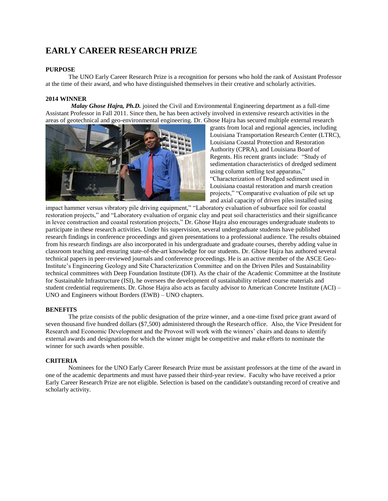# **EARLY CAREER RESEARCH PRIZE**

# **PURPOSE**

The UNO Early Career Research Prize is a recognition for persons who hold the rank of Assistant Professor at the time of their award, and who have distinguished themselves in their creative and scholarly activities.

## **2014 WINNER**

 *Malay Ghose Hajra, Ph.D.* joined the Civil and Environmental Engineering department as a full-time Assistant Professor in Fall 2011. Since then, he has been actively involved in extensive research activities in the areas of geotechnical and geo-environmental engineering. Dr. Ghose Hajra has secured multiple external research



grants from local and regional agencies, including Louisiana Transportation Research Center (LTRC), Louisiana Coastal Protection and Restoration Authority (CPRA), and Louisiana Board of Regents. His recent grants include: "Study of sedimentation characteristics of dredged sediment using column settling test apparatus," "Characterization of Dredged sediment used in

Louisiana coastal restoration and marsh creation projects," "Comparative evaluation of pile set up and axial capacity of driven piles installed using

impact hammer versus vibratory pile driving equipment," "Laboratory evaluation of subsurface soil for coastal restoration projects," and "Laboratory evaluation of organic clay and peat soil characteristics and their significance in levee construction and coastal restoration projects," Dr. Ghose Hajra also encourages undergraduate students to participate in these research activities. Under his supervision, several undergraduate students have published research findings in conference proceedings and given presentations to a professional audience. The results obtained from his research findings are also incorporated in his undergraduate and graduate courses, thereby adding value in classroom teaching and ensuring state-of-the-art knowledge for our students. Dr. Ghose Hajra has authored several technical papers in peer-reviewed journals and conference proceedings. He is an active member of the ASCE Geo-Institute's Engineering Geology and Site Characterization Committee and on the Driven Piles and Sustainability technical committees with Deep Foundation Institute (DFI). As the chair of the Academic Committee at the Institute for Sustainable Infrastructure (ISI), he oversees the development of sustainability related course materials and student credential requirements. Dr. Ghose Hajra also acts as faculty advisor to American Concrete Institute (ACI) – UNO and Engineers without Borders (EWB) – UNO chapters.

### **BENEFITS**

The prize consists of the public designation of the prize winner, and a one-time fixed price grant award of seven thousand five hundred dollars (\$7,500) administered through the Research office. Also, the Vice President for Research and Economic Development and the Provost will work with the winners' chairs and deans to identify external awards and designations for which the winner might be competitive and make efforts to nominate the winner for such awards when possible.

### **CRITERIA**

Nominees for the UNO Early Career Research Prize must be assistant professors at the time of the award in one of the academic departments and must have passed their third-year review. Faculty who have received a prior Early Career Research Prize are not eligible. Selection is based on the candidate's outstanding record of creative and scholarly activity.